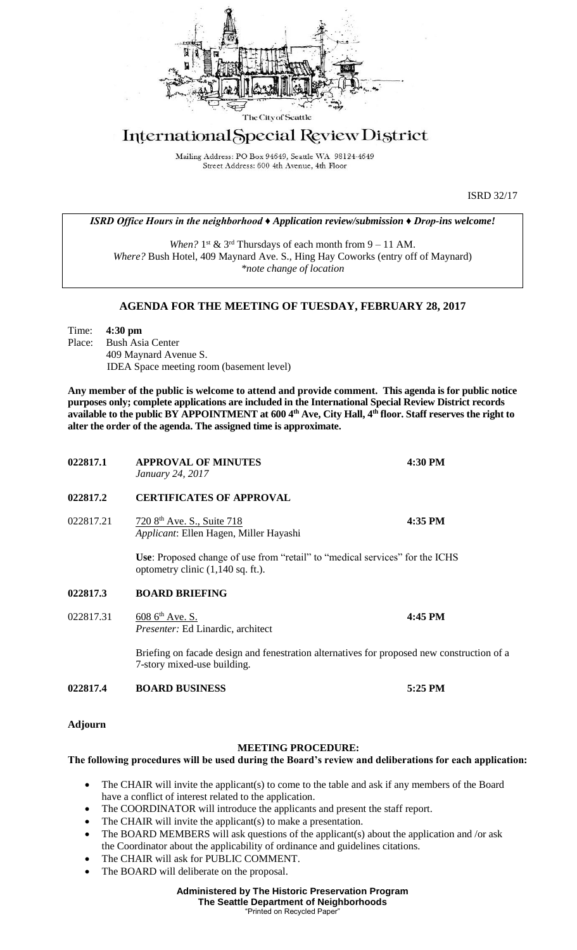

## International Special Review District

Mailing Address: PO Box 94649, Seattle WA 98124-4649 Street Address: 600 4th Avenue, 4th Floor

ISRD 32/17

*ISRD Office Hours in the neighborhood ♦ Application review/submission ♦ Drop-ins welcome!*

When?  $1^{st}$  &  $3^{rd}$  Thursdays of each month from  $9 - 11$  AM. *Where?* Bush Hotel, 409 Maynard Ave. S., Hing Hay Coworks (entry off of Maynard) *\*note change of location*

## **AGENDA FOR THE MEETING OF TUESDAY, FEBRUARY 28, 2017**

Time: **4:30 pm** Place: Bush Asia Center 409 Maynard Avenue S. IDEA Space meeting room (basement level)

**Any member of the public is welcome to attend and provide comment. This agenda is for public notice purposes only; complete applications are included in the International Special Review District records available to the public BY APPOINTMENT at 600 4th Ave, City Hall, 4th floor. Staff reserves the right to alter the order of the agenda. The assigned time is approximate.** 

| 022817.1  | <b>APPROVAL OF MINUTES</b><br>January 24, 2017                                                                                      | 4:30 PM |
|-----------|-------------------------------------------------------------------------------------------------------------------------------------|---------|
| 022817.2  | <b>CERTIFICATES OF APPROVAL</b>                                                                                                     |         |
| 022817.21 | 720 8 <sup>th</sup> Ave. S., Suite 718<br>Applicant: Ellen Hagen, Miller Hayashi                                                    | 4:35 PM |
|           | <b>Use:</b> Proposed change of use from "retail" to "medical services" for the ICHS<br>optometry clinic $(1,140 \text{ sq. ft.})$ . |         |
| 022817.3  | <b>BOARD BRIEFING</b>                                                                                                               |         |
| 022817.31 | $6086^{\text{th}}$ Ave. S.<br>Presenter: Ed Linardic, architect                                                                     | 4:45 PM |
|           | Briefing on facade design and fenestration alternatives for proposed new construction of a<br>7-story mixed-use building.           |         |
| 022817.4  | <b>BOARD BUSINESS</b>                                                                                                               | 5:25 PM |

**Adjourn**

## **MEETING PROCEDURE:**

## **The following procedures will be used during the Board's review and deliberations for each application:**

- The CHAIR will invite the applicant(s) to come to the table and ask if any members of the Board have a conflict of interest related to the application.
- The COORDINATOR will introduce the applicants and present the staff report.
- The CHAIR will invite the applicant(s) to make a presentation.
- The BOARD MEMBERS will ask questions of the applicant(s) about the application and /or ask the Coordinator about the applicability of ordinance and guidelines citations.
- The CHAIR will ask for PUBLIC COMMENT.
- The BOARD will deliberate on the proposal.

**Administered by The Historic Preservation Program The Seattle Department of Neighborhoods** "Printed on Recycled Paper"